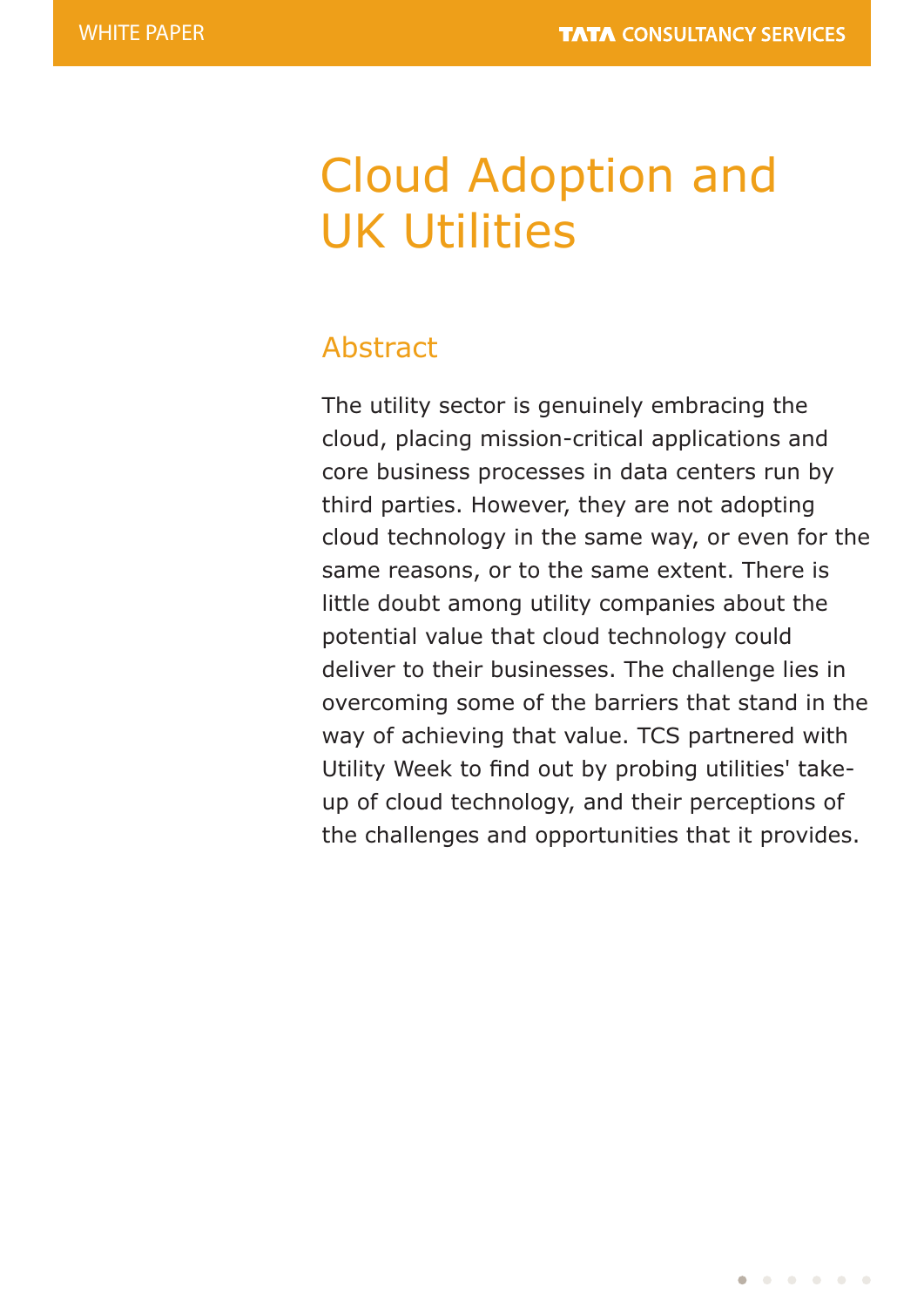# Cloud Adoption and UK Utilities

# Abstract

The utility sector is genuinely embracing the cloud, placing mission-critical applications and core business processes in data centers run by third parties. However, they are not adopting cloud technology in the same way, or even for the same reasons, or to the same extent. There is little doubt among utility companies about the potential value that cloud technology could deliver to their businesses. The challenge lies in overcoming some of the barriers that stand in the way of achieving that value. TCS partnered with Utility Week to find out by probing utilities' takeup of cloud technology, and their perceptions of the challenges and opportunities that it provides.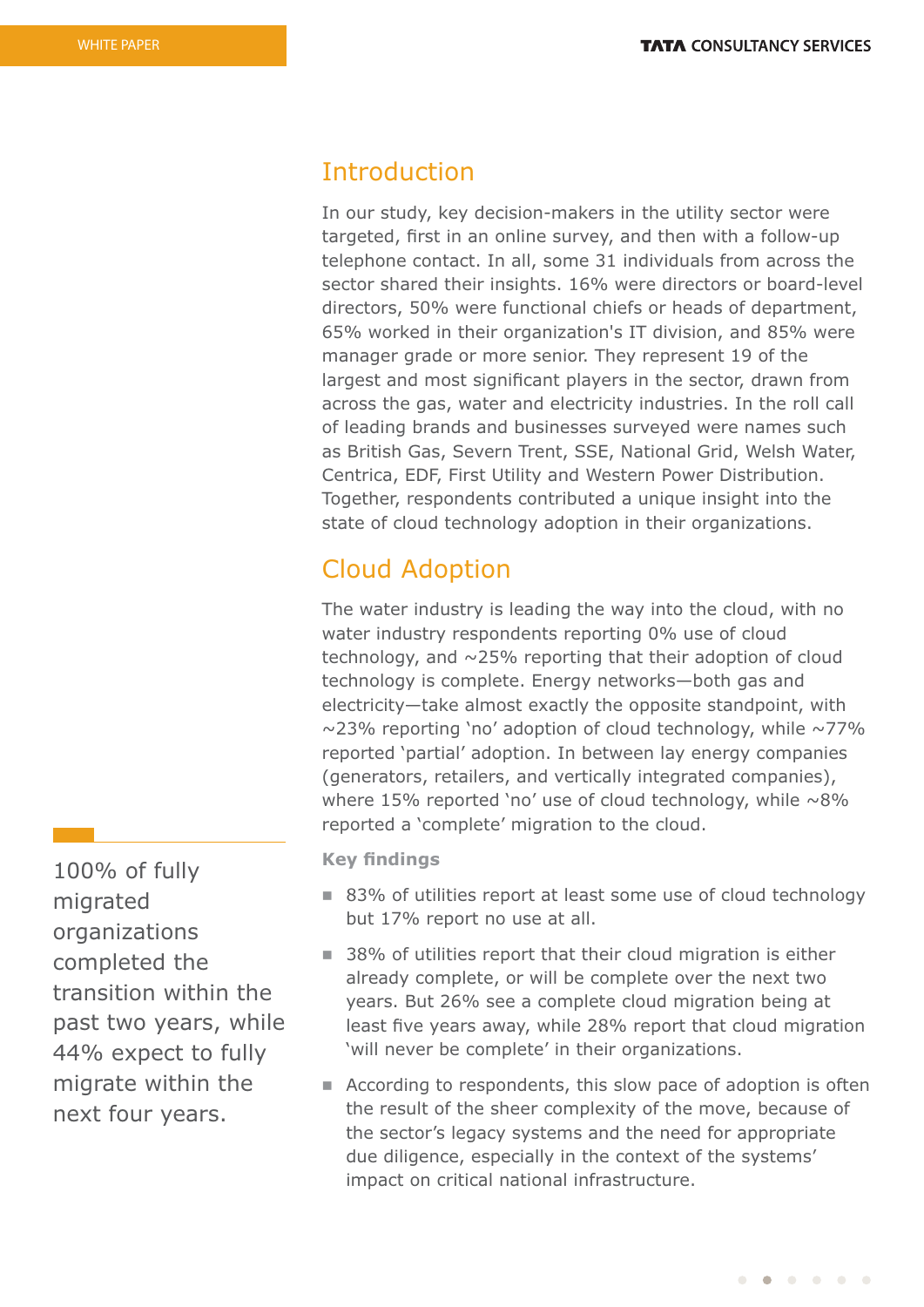## Introduction

In our study, key decision-makers in the utility sector were targeted, first in an online survey, and then with a follow-up telephone contact. In all, some 31 individuals from across the sector shared their insights. 16% were directors or board-level directors, 50% were functional chiefs or heads of department, 65% worked in their organization's IT division, and 85% were manager grade or more senior. They represent 19 of the largest and most significant players in the sector, drawn from across the gas, water and electricity industries. In the roll call of leading brands and businesses surveyed were names such as British Gas, Severn Trent, SSE, National Grid, Welsh Water, Centrica, EDF, First Utility and Western Power Distribution. Together, respondents contributed a unique insight into the state of cloud technology adoption in their organizations.

## Cloud Adoption

The water industry is leading the way into the cloud, with no water industry respondents reporting 0% use of cloud technology, and ~25% reporting that their adoption of cloud technology is complete. Energy networks—both gas and electricity—take almost exactly the opposite standpoint, with  $\sim$ 23% reporting 'no' adoption of cloud technology, while  $\sim$ 77% reported 'partial' adoption. In between lay energy companies (generators, retailers, and vertically integrated companies), where 15% reported 'no' use of cloud technology, while  $\sim8\%$ reported a 'complete' migration to the cloud.

**Key findings** 

- 83% of utilities report at least some use of cloud technology but 17% report no use at all.
- $\blacksquare$  38% of utilities report that their cloud migration is either already complete, or will be complete over the next two years. But 26% see a complete cloud migration being at least five years away, while 28% report that cloud migration 'will never be complete' in their organizations.
- $\blacksquare$  According to respondents, this slow pace of adoption is often the result of the sheer complexity of the move, because of the sector's legacy systems and the need for appropriate due diligence, especially in the context of the systems' impact on critical national infrastructure.

100% of fully migrated organizations completed the transition within the past two years, while 44% expect to fully migrate within the next four years.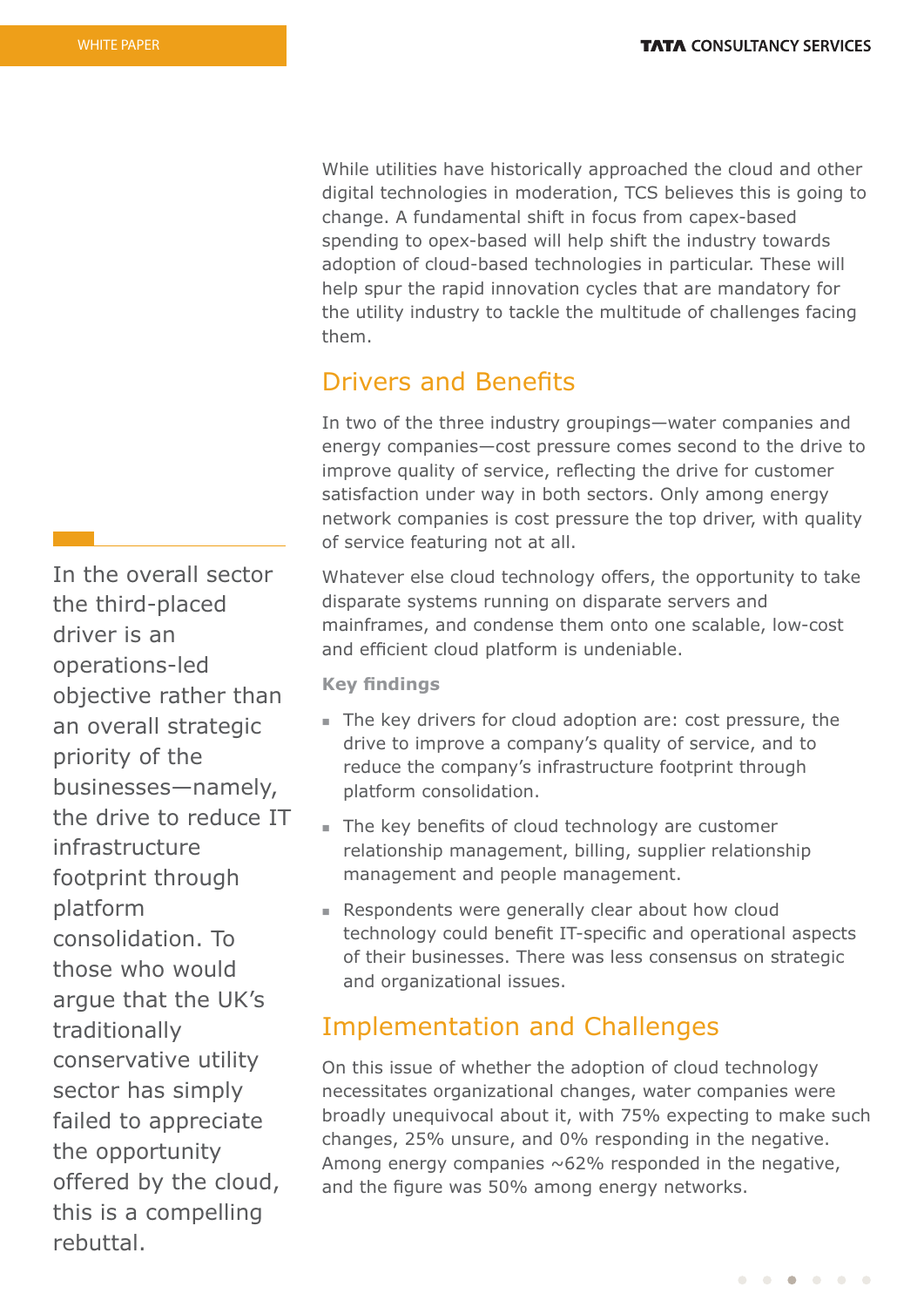While utilities have historically approached the cloud and other digital technologies in moderation, TCS believes this is going to change. A fundamental shift in focus from capex-based spending to opex-based will help shift the industry towards adoption of cloud-based technologies in particular. These will help spur the rapid innovation cycles that are mandatory for the utility industry to tackle the multitude of challenges facing them.

## **Drivers and Benefits**

In two of the three industry groupings—water companies and energy companies—cost pressure comes second to the drive to improve quality of service, reflecting the drive for customer satisfaction under way in both sectors. Only among energy network companies is cost pressure the top driver, with quality of service featuring not at all.

Whatever else cloud technology offers, the opportunity to take disparate systems running on disparate servers and mainframes, and condense them onto one scalable, low-cost and efficient cloud platform is undeniable.

**Key findings** 

- The key drivers for cloud adoption are: cost pressure, the drive to improve a company's quality of service, and to reduce the company's infrastructure footprint through platform consolidation.
- $\blacksquare$  The key benefits of cloud technology are customer relationship management, billing, supplier relationship management and people management.
- **Respondents were generally clear about how cloud** technology could benefit IT-specific and operational aspects of their businesses. There was less consensus on strategic and organizational issues.

# Implementation and Challenges

On this issue of whether the adoption of cloud technology necessitates organizational changes, water companies were broadly unequivocal about it, with 75% expecting to make such changes, 25% unsure, and 0% responding in the negative. Among energy companies  $\sim 62\%$  responded in the negative, and the figure was 50% among energy networks.

In the overall sector the third-placed driver is an operations-led objective rather than an overall strategic priority of the businesses—namely, the drive to reduce IT infrastructure footprint through platform consolidation. To those who would argue that the UK's traditionally conservative utility sector has simply failed to appreciate the opportunity offered by the cloud, this is a compelling rebuttal.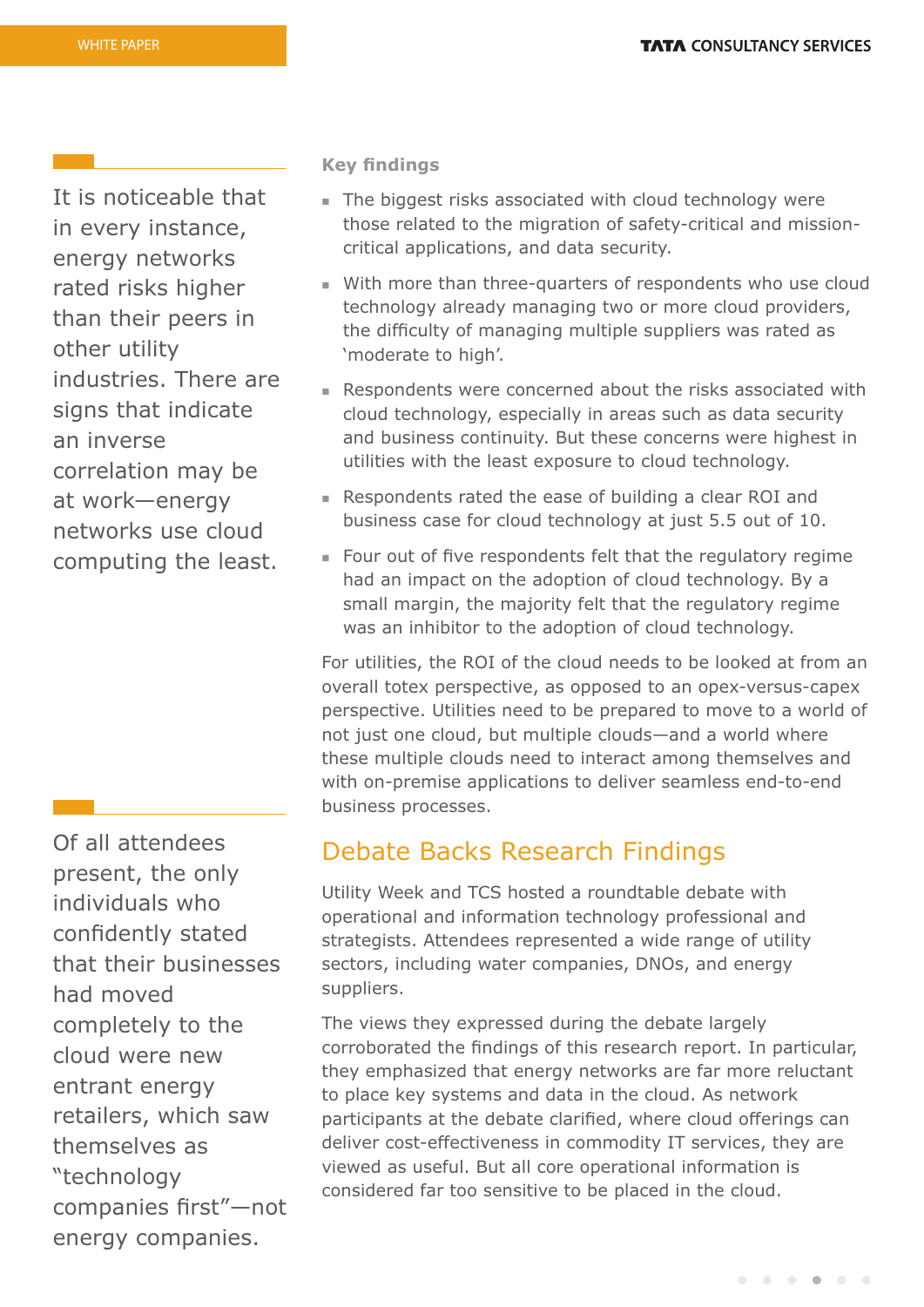It is noticeable that in every instance, energy networks rated risks higher than their peers in other utility industries. There are signs that indicate an inverse correlation may be at work—energy networks use cloud computing the least.

Of all attendees present, the only individuals who confidently stated that their businesses had moved completely to the cloud were new entrant energy retailers, which saw themselves as "technology companies first"-not energy companies.

#### **Key findings**

- $\blacksquare$  The biggest risks associated with cloud technology were those related to the migration of safety-critical and missioncritical applications, and data security.
- With more than three-quarters of respondents who use cloud technology already managing two or more cloud providers, the difficulty of managing multiple suppliers was rated as 'moderate to high'.
- **Respondents were concerned about the risks associated with** cloud technology, especially in areas such as data security and business continuity. But these concerns were highest in utilities with the least exposure to cloud technology.
- <sup>n</sup> Respondents rated the ease of building a clear ROI and business case for cloud technology at just 5.5 out of 10.
- $\blacksquare$  Four out of five respondents felt that the regulatory regime had an impact on the adoption of cloud technology. By a small margin, the majority felt that the regulatory regime was an inhibitor to the adoption of cloud technology.

For utilities, the ROI of the cloud needs to be looked at from an overall totex perspective, as opposed to an opex-versus-capex perspective. Utilities need to be prepared to move to a world of not just one cloud, but multiple clouds—and a world where these multiple clouds need to interact among themselves and with on-premise applications to deliver seamless end-to-end business processes.

## Debate Backs Research Findings

Utility Week and TCS hosted a roundtable debate with operational and information technology professional and strategists. Attendees represented a wide range of utility sectors, including water companies, DNOs, and energy suppliers.

The views they expressed during the debate largely corroborated the findings of this research report. In particular, they emphasized that energy networks are far more reluctant to place key systems and data in the cloud. As network participants at the debate clarified, where cloud offerings can deliver cost-effectiveness in commodity IT services, they are viewed as useful. But all core operational information is considered far too sensitive to be placed in the cloud.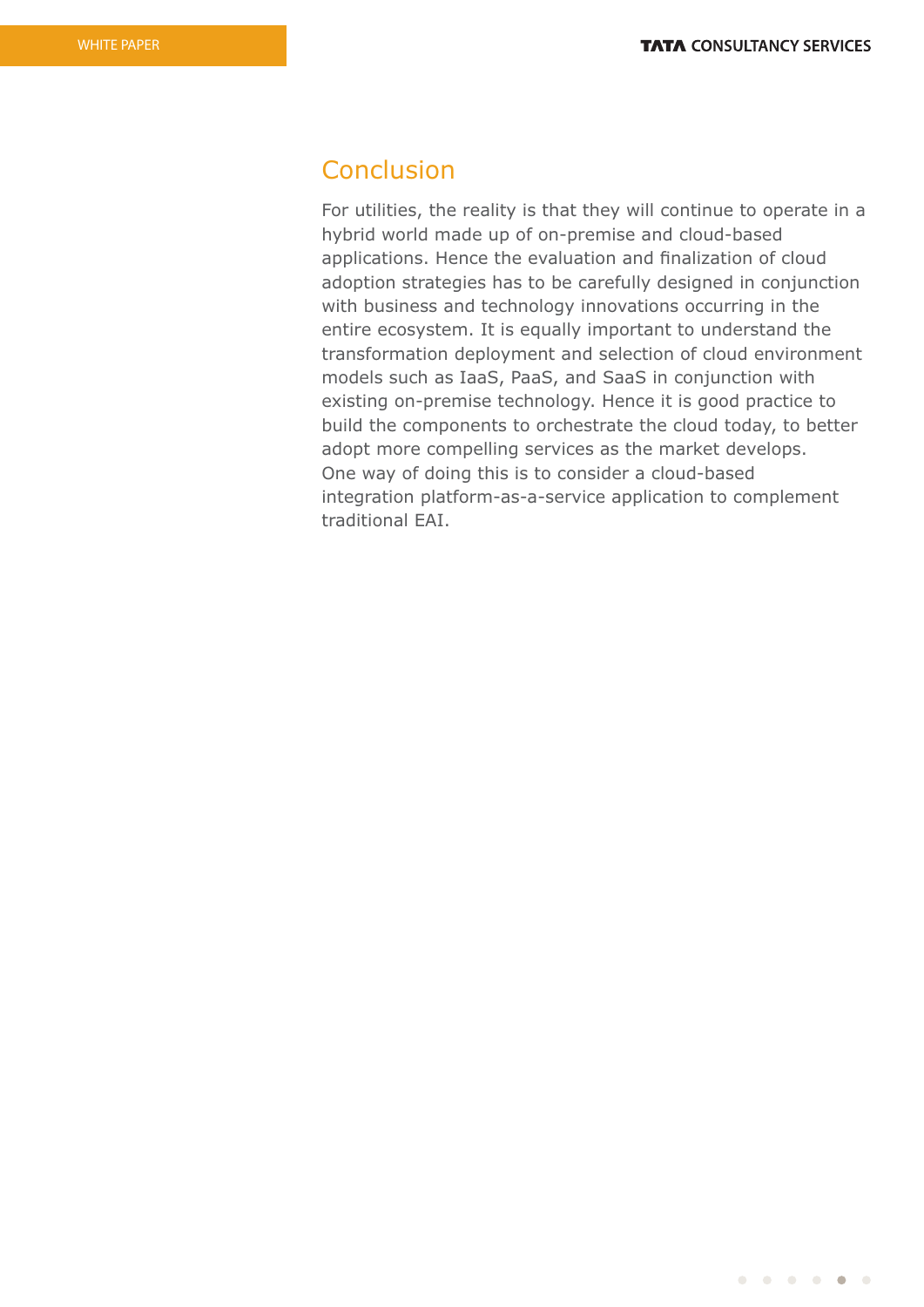## **Conclusion**

For utilities, the reality is that they will continue to operate in a hybrid world made up of on-premise and cloud-based applications. Hence the evaluation and finalization of cloud adoption strategies has to be carefully designed in conjunction with business and technology innovations occurring in the entire ecosystem. It is equally important to understand the transformation deployment and selection of cloud environment models such as IaaS, PaaS, and SaaS in conjunction with existing on-premise technology. Hence it is good practice to build the components to orchestrate the cloud today, to better adopt more compelling services as the market develops. One way of doing this is to consider a cloud-based integration platform-as-a-service application to complement traditional EAI.